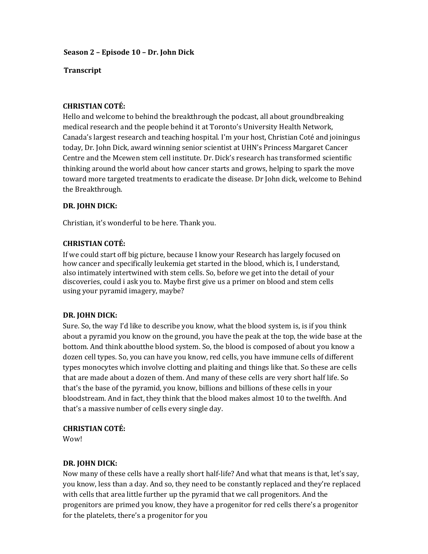### **Season 2 – Episode 10 – Dr. John Dick**

#### **Transcript**

#### **CHRISTIAN COTÉ:**

Hello and welcome to behind the breakthrough the podcast, all about groundbreaking medical research and the people behind it at Toronto's University Health Network, Canada's largest research and teaching hospital. I'm your host, Christian Coté and joining us today, Dr. John Dick, award winning senior scientist at UHN's Princess Margaret Cancer Centre and the Mcewen stem cell institute. Dr. Dick's research has transformed scientific thinking around the world about how cancer starts and grows, helping to spark the move toward more targeted treatments to eradicate the disease. Dr John dick, welcome to Behind the Breakthrough.

### **DR. JOHN DICK:**

Christian, it's wonderful to be here. Thank you.

### **CHRISTIAN COTÉ:**

If we could start off big picture, because I know your Research has largely focused on how cancer and specifically leukemia get started in the blood, which is, I understand, also intimately intertwined with stem cells. So, before we get into the detail of your discoveries, could i ask you to. Maybe first give us a primer on blood and stem cells using your pyramid imagery, maybe?

## **DR. JOHN DICK:**

Sure. So, the way I'd like to describe you know, what the blood system is, is if you think about a pyramid you know on the ground, you have the peak at the top, the wide base at the bottom. And think aboutthe blood system. So, the blood is composed of about you know a dozen cell types. So, you can have you know, red cells, you have immune cells of different types monocytes which involve clotting and plaiting and things like that. So these are cells that are made about a dozen of them. And many of these cells are very short half life. So that's the base of the pyramid, you know, billions and billions of these cells in your bloodstream. And in fact, they think that the blood makes almost 10 to the twelfth. And that's a massive number of cells every single day.

## **CHRISTIAN COTÉ:**

Wow!

#### **DR. JOHN DICK:**

Now many of these cells have a really short half-life? And what that means is that, let's say, you know, less than a day. And so, they need to be constantly replaced and they're replaced with cells that area little further up the pyramid that we call progenitors. And the progenitors are primed you know, they have a progenitor for red cells there's a progenitor for the platelets, there's a progenitor for you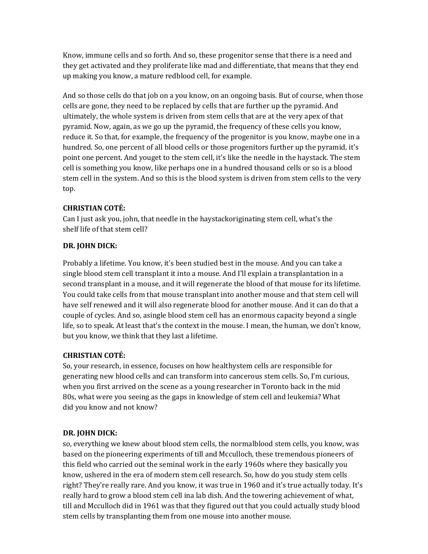Know, immune cells and so forth. And so, these progenitor sense that there is a need and they get activated and they proliferate like mad and differentiate, that means that they end up making you know, a mature redblood cell, for example.

And so those cells do that job on a you know, on an ongoing basis. But of course, when those cells are gone, they need to be replaced by cells that are further up the pyramid. And ultimately, the whole system is driven from stem cells that are at the very apex of that pyramid. Now, again, as we go up the pyramid, the frequency of these cells you know, reduce it. So that, for example, the frequency of the progenitor is you know, maybe one in a hundred. So, one percent of all blood cells or those progenitors further up the pyramid, it's point one percent. And youget to the stem cell, it's like the needle in the haystack. The stem cell is something you know, like perhaps one in a hundred thousand cells or so is a blood stem cell in the system. And so this is the blood system is driven from stem cells to the very top.

# **CHRISTIAN COTÉ:**

Can I just ask you, john, that needle in the haystackoriginating stem cell, what's the shelf life of that stem cell?

# **DR. JOHN DICK:**

Probably a lifetime. You know, it's been studied best in the mouse. And you can take a single blood stem cell transplant it into a mouse. And I'll explain a transplantation in a second transplant in a mouse, and it will regenerate the blood of that mouse for its lifetime. You could take cells from that mouse transplant into another mouse and that stem cell will have self renewed and it will also regenerate blood for another mouse. And it can do that a couple of cycles. And so, asingle blood stem cell has an enormous capacity beyond a single life, so to speak. At least that's the context in the mouse. I mean, the human, we don't know, but you know, we think that they last a lifetime.

# **CHRISTIAN COTÉ:**

So, your research, in essence, focuses on how healthystem cells are responsible for generating new blood cells and can transform into cancerous stem cells. So, I'm curious, when you first arrived on the scene as a young researcher in Toronto back in the mid 80s, what were you seeing as the gaps in knowledge of stem cell and leukemia? What did you know and not know?

# **DR. JOHN DICK:**

so, everything we knew about blood stem cells, the normalblood stem cells, you know, was based on the pioneering experiments of till and Mcculloch, these tremendous pioneers of this field who carried out the seminal work in the early 1960s where they basically you know, ushered in the era of modern stem cell research. So, how do you study stem cells right? They're really rare. And you know, it was true in 1960 and it's true actually today. It's really hard to grow a blood stem cell ina lab dish. And the towering achievement of what, till and Mcculloch did in 1961 was that they figured out that you could actually study blood stem cells by transplanting them from one mouse into another mouse.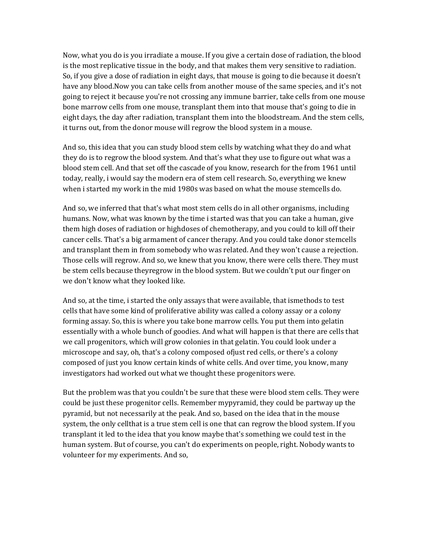Now, what you do is you irradiate a mouse. If you give a certain dose of radiation, the blood is the most replicative tissue in the body, and that makes them very sensitive to radiation. So, if you give a dose of radiation in eight days, that mouse is going to die because it doesn't have any blood.Now you can take cells from another mouse of the same species, and it's not going to reject it because you're not crossing any immune barrier, take cells from one mouse bone marrow cells from one mouse, transplant them into that mouse that's going to die in eight days, the day after radiation, transplant them into the bloodstream. And the stem cells, it turns out, from the donor mouse will regrow the blood system in a mouse.

And so, this idea that you can study blood stem cells by watching what they do and what they do is to regrow the blood system. And that's what they use to figure out what was a blood stem cell. And that set off the cascade of you know, research for the from 1961 until today, really, i would say the modern era of stem cell research. So, everything we knew when i started my work in the mid 1980s was based on what the mouse stemcells do.

And so, we inferred that that's what most stem cells do in all other organisms, including humans. Now, what was known by the time i started was that you can take a human, give them high doses of radiation or highdoses of chemotherapy, and you could to kill off their cancer cells. That's a big armament of cancer therapy. And you could take donor stemcells and transplant them in from somebody who was related. And they won't cause a rejection. Those cells will regrow. And so, we knew that you know, there were cells there. They must be stem cells because theyregrow in the blood system. But we couldn't put our finger on we don't know what they looked like.

And so, at the time, i started the only assays that were available, that ismethods to test cells that have some kind of proliferative ability was called a colony assay or a colony forming assay. So, this is where you take bone marrow cells. You put them into gelatin essentially with a whole bunch of goodies. And what will happen is that there are cells that we call progenitors, which will grow colonies in that gelatin. You could look under a microscope and say, oh, that's a colony composed ofjust red cells, or there's a colony composed of just you know certain kinds of white cells. And over time, you know, many investigators had worked out what we thought these progenitors were.

But the problem was that you couldn't be sure that these were blood stem cells. They were could be just these progenitor cells. Remember mypyramid, they could be partway up the pyramid, but not necessarily at the peak. And so, based on the idea that in the mouse system, the only cellthat is a true stem cell is one that can regrow the blood system. If you transplant it led to the idea that you know maybe that's something we could test in the human system. But of course, you can't do experiments on people, right. Nobody wants to volunteer for my experiments. And so,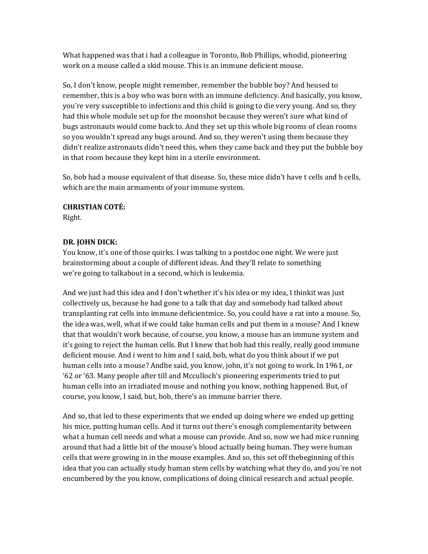What happened was that i had a colleague in Toronto, Bob Phillips, whodid, pioneering work on a mouse called a skid mouse. This is an immune deficient mouse.

So, I don't know, people might remember, remember the bubble boy? And heused to remember, this is a boy who was born with an immune deficiency. And basically, you know, you're very susceptible to infections and this child is going to die very young. And so, they had this whole module set up for the moonshot because they weren't sure what kind of bugs astronauts would come back to. And they set up this whole big rooms of clean rooms so you wouldn't spread any bugs around. And so, they weren't using them because they didn't realize astronauts didn't need this, when they came back and they put the bubble boy in that room because they kept him in a sterile environment.

So, bob had a mouse equivalent of that disease. So, these mice didn't have t cells and b cells, which are the main armaments of your immune system.

#### **CHRISTIAN COTÉ:**

Right.

## **DR. JOHN DICK:**

You know, it's one of those quirks. I was talking to a postdoc one night. We were just brainstorming about a couple of different ideas. And they'll relate to something we're going to talkabout in a second, which is leukemia.

And we just had this idea and I don't whether it's his idea or my idea, I thinkit was just collectively us, because he had gone to a talk that day and somebody had talked about transplanting rat cells into immune deficientmice. So, you could have a rat into a mouse. So, the idea was, well, what if we could take human cells and put them in a mouse? And I knew that that wouldn't work because, of course, you know, a mouse has an immune system and it's going to reject the human cells. But I knew that bob had this really, really good immune deficient mouse. And i went to him and I said, bob, what do you think about if we put human cells into a mouse? Andhe said, you know, john, it's not going to work. In 1961, or '62 or '63. Many people after till and Mcculloch's pioneering experiments tried to put human cells into an irradiated mouse and nothing you know, nothing happened. But, of course, you know, I said, but, bob, there's an immune barrier there.

And so, that led to these experiments that we ended up doing where we ended up getting his mice, putting human cells. And it turns out there's enough complementarity between what a human cell needs and what a mouse can provide. And so, now we had mice running around that had a little bit of the mouse's blood actually being human. They were human cells that were growing in in the mouse examples. And so, this set off thebeginning of this idea that you can actually study human stem cells by watching what they do, and you're not encumbered by the you know, complications of doing clinical research and actual people.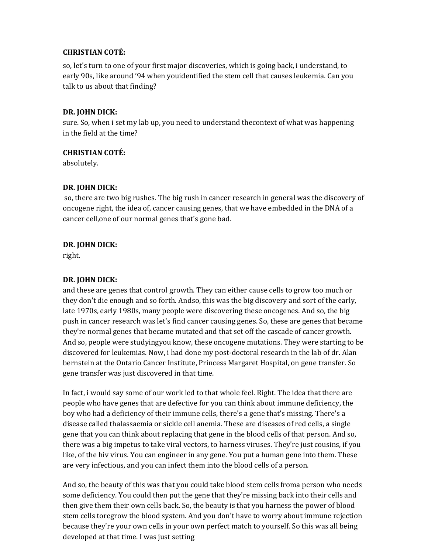### **CHRISTIAN COTÉ:**

so, let's turn to one of your first major discoveries, which is going back, i understand, to early 90s, like around '94 when youidentified the stem cell that causes leukemia. Can you talk to us about that finding?

### **DR. JOHN DICK:**

sure. So, when i set my lab up, you need to understand thecontext of what was happening in the field at the time?

### **CHRISTIAN COTÉ:**

absolutely.

### **DR. JOHN DICK:**

 so, there are two big rushes. The big rush in cancer research in general was the discovery of oncogene right, the idea of, cancer causing genes, that we have embedded in the DNA of a cancer cell,one of our normal genes that's gone bad.

## **DR. JOHN DICK:**

right.

## **DR. JOHN DICK:**

and these are genes that control growth. They can either cause cells to grow too much or they don't die enough and so forth. Andso, this was the big discovery and sort of the early, late 1970s, early 1980s, many people were discovering these oncogenes. And so, the big push in cancer research was let's find cancer causing genes. So, these are genes that became they're normal genes that became mutated and that set off the cascade of cancer growth. And so, people were studyingyou know, these oncogene mutations. They were starting to be discovered for leukemias. Now, i had done my post-doctoral research in the lab of dr. Alan bernstein at the Ontario Cancer Institute, Princess Margaret Hospital, on gene transfer. So gene transfer was just discovered in that time.

In fact, i would say some of our work led to that whole feel. Right. The idea that there are people who have genes that are defective for you can think about immune deficiency, the boy who had a deficiency of their immune cells, there's a gene that's missing. There's a disease called thalassaemia or sickle cell anemia. These are diseases of red cells, a single gene that you can think about replacing that gene in the blood cells of that person. And so, there was a big impetus to take viral vectors, to harness viruses. They're just cousins, if you like, of the hiv virus. You can engineer in any gene. You put a human gene into them. These are very infectious, and you can infect them into the blood cells of a person.

And so, the beauty of this was that you could take blood stem cells froma person who needs some deficiency. You could then put the gene that they're missing back into their cells and then give them their own cells back. So, the beauty is that you harness the power of blood stem cells toregrow the blood system. And you don't have to worry about immune rejection because they're your own cells in your own perfect match to yourself. So this was all being developed at that time. I was just setting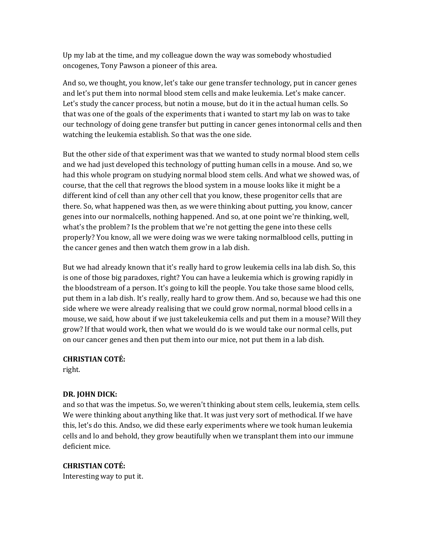Up my lab at the time, and my colleague down the way was somebody who studied oncogenes, Tony Pawson a pioneer of this area.

And so, we thought, you know, let's take our gene transfer technology, put in cancer genes and let's put them into normal blood stem cells and make leukemia. Let's make cancer. Let's study the cancer process, but notin a mouse, but do it in the actual human cells. So that was one of the goals of the experiments that i wanted to start my lab on was to take our technology of doing gene transfer but putting in cancer genes intonormal cells and then watching the leukemia establish. So that was the one side.

But the other side of that experiment was that we wanted to study normal blood stem cells and we had just developed this technology of putting human cells in a mouse. And so, we had this whole program on studying normal blood stem cells. And what we showed was, of course, that the cell that regrows the blood system in a mouse looks like it might be a different kind of cell than any other cell that you know, these progenitor cells that are there. So, what happened was then, as we were thinking about putting, you know, cancer genes into our normalcells, nothing happened. And so, at one point we're thinking, well, what's the problem? Is the problem that we're not getting the gene into these cells properly? You know, all we were doing was we were taking normalblood cells, putting in the cancer genes and then watch them grow in a lab dish.

But we had already known that it's really hard to grow leukemia cells ina lab dish. So, this is one of those big paradoxes, right? You can have a leukemia which is growing rapidly in the bloodstream of a person. It's going to kill the people. You take those same blood cells, put them in a lab dish. It's really, really hard to grow them. And so, because we had this one side where we were already realising that we could grow normal, normal blood cells in a mouse, we said, how about if we just takeleukemia cells and put them in a mouse? Will they grow? If that would work, then what we would do is we would take our normal cells, put on our cancer genes and then put them into our mice, not put them in a lab dish.

**CHRISTIAN COTÉ:** 

right.

## **DR. JOHN DICK:**

and so that was the impetus. So, we weren't thinking about stem cells, leukemia, stem cells. We were thinking about anything like that. It was just very sort of methodical. If we have this, let's do this. Andso, we did these early experiments where we took human leukemia cells and lo and behold, they grow beautifully when we transplant them into our immune deficient mice.

## **CHRISTIAN COTÉ:**

Interesting way to put it.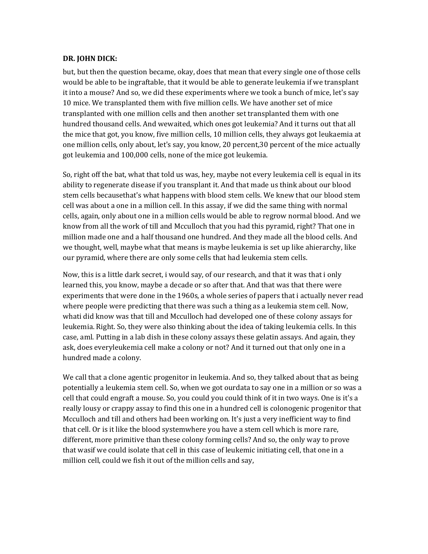#### **DR. JOHN DICK:**

but, but then the question became, okay, does that mean that every single one of those cells would be able to be ingraftable, that it would be able to generate leukemia if we transplant it into a mouse? And so, we did these experiments where we took a bunch of mice, let's say 10 mice. We transplanted them with five million cells. We have another set of mice transplanted with one million cells and then another set transplanted them with one hundred thousand cells. And wewaited, which ones got leukemia? And it turns out that all the mice that got, you know, five million cells, 10 million cells, they always got leukaemia at one million cells, only about, let's say, you know, 20 percent,30 percent of the mice actually got leukemia and 100,000 cells, none of the mice got leukemia.

So, right off the bat, what that told us was, hey, maybe not every leukemia cell is equal in its ability to regenerate disease if you transplant it. And that made us think about our blood stem cells becausethat's what happens with blood stem cells. We knew that our blood stem cell was about a one in a million cell. In this assay, if we did the same thing with normal cells, again, only about one in a million cells would be able to regrow normal blood. And we know from all the work of till and Mcculloch that you had this pyramid, right? That one in million made one and a half thousand one hundred. And they made all the blood cells. And we thought, well, maybe what that means is maybe leukemia is set up like ahierarchy, like our pyramid, where there are only some cells that had leukemia stem cells.

Now, this is a little dark secret, i would say, of our research, and that it was that i only learned this, you know, maybe a decade or so after that. And that was that there were experiments that were done in the 1960s, a whole series of papers that i actually never read where people were predicting that there was such a thing as a leukemia stem cell. Now, whati did know was that till and Mcculloch had developed one of these colony assays for leukemia. Right. So, they were also thinking about the idea of taking leukemia cells. In this case, aml. Putting in a lab dish in these colony assays these gelatin assays. And again, they ask, does everyleukemia cell make a colony or not? And it turned out that only one in a hundred made a colony.

We call that a clone agentic progenitor in leukemia. And so, they talked about that as being potentially a leukemia stem cell. So, when we got ourdata to say one in a million or so was a cell that could engraft a mouse. So, you could you could think of it in two ways. One is it's a really lousy or crappy assay to find this one in a hundred cell is colonogenic progenitor that Mcculloch and till and others had been working on. It's just a very inefficient way to find that cell. Or is it like the blood systemwhere you have a stem cell which is more rare, different, more primitive than these colony forming cells? And so, the only way to prove that wasif we could isolate that cell in this case of leukemic initiating cell, that one in a million cell, could we fish it out of the million cells and say,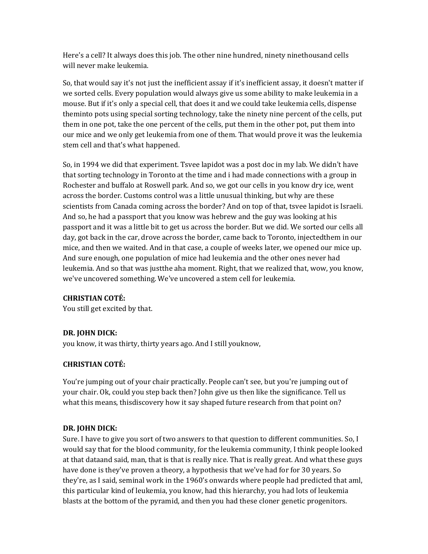Here's a cell? It always does this job. The other nine hundred, ninety ninethousand cells will never make leukemia.

So, that would say it's not just the inefficient assay if it's inefficient assay, it doesn't matter if we sorted cells. Every population would always give us some ability to make leukemia in a mouse. But if it's only a special cell, that does it and we could take leukemia cells, dispense them into pots using special sorting technology, take the ninety nine percent of the cells, put them in one pot, take the one percent of the cells, put them in the other pot, put them into our mice and we only get leukemia from one of them. That would prove it was the leukemia stem cell and that's what happened.

So, in 1994 we did that experiment. Tsvee lapidot was a post doc in my lab. We didn't have that sorting technology in Toronto at the time and i had made connections with a group in Rochester and buffalo at Roswell park. And so, we got our cells in you know dry ice, went across the border. Customs control was a little unusual thinking, but why are these scientists from Canada coming across the border? And on top of that, tsvee lapidot is Israeli. And so, he had a passport that you know was hebrew and the guy was looking at his passport and it was a little bit to get us across the border. But we did. We sorted our cells all day, got back in the car, drove across the border, came back to Toronto, injectedthem in our mice, and then we waited. And in that case, a couple of weeks later, we opened our mice up. And sure enough, one population of mice had leukemia and the other ones never had leukemia. And so that was justthe aha moment. Right, that we realized that, wow, you know, we've uncovered something. We've uncovered a stem cell for leukemia.

## **CHRISTIAN COTÉ:**

You still get excited by that.

## **DR. JOHN DICK:**

you know, it was thirty, thirty years ago. And I still youknow,

## **CHRISTIAN COTÉ:**

You're jumping out of your chair practically. People can't see, but you're jumping out of your chair. Ok, could you step back then? John give us then like the significance. Tell us what this means, thisdiscovery how it say shaped future research from that point on?

## **DR. JOHN DICK:**

Sure. I have to give you sort of two answers to that question to different communities. So, I would say that for the blood community, for the leukemia community, I think people looked at that dataand said, man, that is that is really nice. That is really great. And what these guys have done is they've proven a theory, a hypothesis that we've had for for 30 years. So they're, as I said, seminal work in the 1960's onwards where people had predicted that aml, this particular kind of leukemia, you know, had this hierarchy, you had lots of leukemia blasts at the bottom of the pyramid, and then you had these cloner genetic progenitors.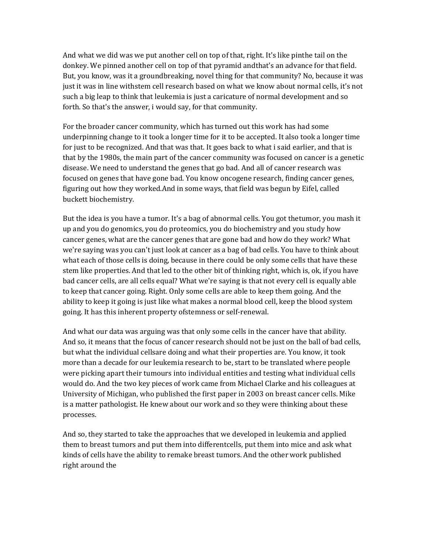And what we did was we put another cell on top of that, right. It's like pinthe tail on the donkey. We pinned another cell on top of that pyramid andthat's an advance for that field. But, you know, was it a groundbreaking, novel thing for that community? No, because it was just it was in line withstem cell research based on what we know about normal cells, it's not such a big leap to think that leukemia is just a caricature of normal development and so forth. So that's the answer, i would say, for that community.

For the broader cancer community, which has turned out this work has had some underpinning change to it took a longer time for it to be accepted. It also took a longer time for just to be recognized. And that was that. It goes back to what i said earlier, and that is that by the 1980s, the main part of the cancer community was focused on cancer is a genetic disease. We need to understand the genes that go bad. And all of cancer research was focused on genes that have gone bad. You know oncogene research, finding cancer genes, figuring out how they worked.And in some ways, that field was begun by Eifel, called buckett biochemistry.

But the idea is you have a tumor. It's a bag of abnormal cells. You got thetumor, you mash it up and you do genomics, you do proteomics, you do biochemistry and you study how cancer genes, what are the cancer genes that are gone bad and how do they work? What we're saying was you can't just look at cancer as a bag of bad cells. You have to think about what each of those cells is doing, because in there could be only some cells that have these stem like properties. And that led to the other bit of thinking right, which is, ok, if you have bad cancer cells, are all cells equal? What we're saying is that not every cell is equally able to keep that cancer going. Right. Only some cells are able to keep them going. And the ability to keep it going is just like what makes a normal blood cell, keep the blood system going. It has this inherent property ofstemness or self-renewal.

And what our data was arguing was that only some cells in the cancer have that ability. And so, it means that the focus of cancer research should not be just on the ball of bad cells, but what the individual cellsare doing and what their properties are. You know, it took more than a decade for our leukemia research to be, start to be translated where people were picking apart their tumours into individual entities and testing what individual cells would do. And the two key pieces of work came from Michael Clarke and his colleagues at University of Michigan, who published the first paper in 2003 on breast cancer cells. Mike is a matter pathologist. He knew about our work and so they were thinking about these processes.

And so, they started to take the approaches that we developed in leukemia and applied them to breast tumors and put them into differentcells, put them into mice and ask what kinds of cells have the ability to remake breast tumors. And the other work published right around the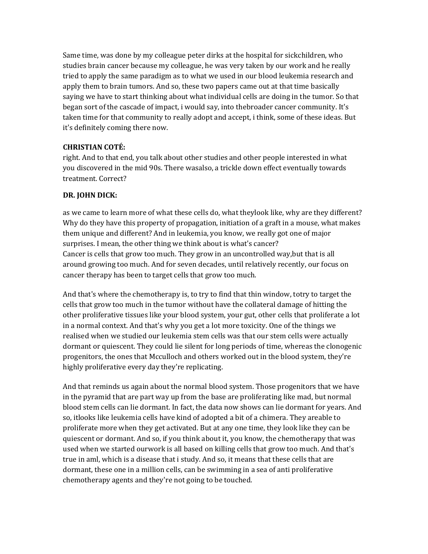Same time, was done by my colleague peter dirks at the hospital for sickchildren, who studies brain cancer because my colleague, he was very taken by our work and he really tried to apply the same paradigm as to what we used in our blood leukemia research and apply them to brain tumors. And so, these two papers came out at that time basically saying we have to start thinking about what individual cells are doing in the tumor. So that began sort of the cascade of impact, i would say, into thebroader cancer community. It's taken time for that community to really adopt and accept, i think, some of these ideas. But it's definitely coming there now.

### **CHRISTIAN COTÉ:**

right. And to that end, you talk about other studies and other people interested in what you discovered in the mid 90s. There wasalso, a trickle down effect eventually towards treatment. Correct?

### **DR. JOHN DICK:**

as we came to learn more of what these cells do, what theylook like, why are they different? Why do they have this property of propagation, initiation of a graft in a mouse, what makes them unique and different? And in leukemia, you know, we really got one of major surprises. I mean, the other thing we think about is what's cancer? Cancer is cells that grow too much. They grow in an uncontrolled way,but that is all around growing too much. And for seven decades, until relatively recently, our focus on cancer therapy has been to target cells that grow too much.

And that's where the chemotherapy is, to try to find that thin window, totry to target the cells that grow too much in the tumor without have the collateral damage of hitting the other proliferative tissues like your blood system, your gut, other cells that proliferate a lot in a normal context. And that's why you get a lot more toxicity. One of the things we realised when we studied our leukemia stem cells was that our stem cells were actually dormant or quiescent. They could lie silent for long periods of time, whereas the clonogenic progenitors, the ones that Mcculloch and others worked out in the blood system, they're highly proliferative every day they're replicating.

And that reminds us again about the normal blood system. Those progenitors that we have in the pyramid that are part way up from the base are proliferating like mad, but normal blood stem cells can lie dormant. In fact, the data now shows can lie dormant for years. And so, itlooks like leukemia cells have kind of adopted a bit of a chimera. They areable to proliferate more when they get activated. But at any one time, they look like they can be quiescent or dormant. And so, if you think about it, you know, the chemotherapy that was used when we started ourwork is all based on killing cells that grow too much. And that's true in aml, which is a disease that i study. And so, it means that these cells that are dormant, these one in a million cells, can be swimming in a sea of anti proliferative chemotherapy agents and they're not going to be touched.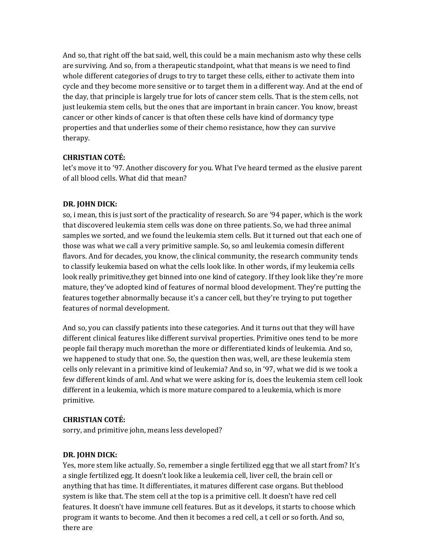And so, that right off the bat said, well, this could be a main mechanism asto why these cells are surviving. And so, from a therapeutic standpoint, what that means is we need to find whole different categories of drugs to try to target these cells, either to activate them into cycle and they become more sensitive or to target them in a different way. And at the end of the day, that principle is largely true for lots of cancer stem cells. That is the stem cells, not just leukemia stem cells, but the ones that are important in brain cancer. You know, breast cancer or other kinds of cancer is that often these cells have kind of dormancy type properties and that underlies some of their chemo resistance, how they can survive therapy.

### **CHRISTIAN COTÉ:**

let's move it to '97. Another discovery for you. What I've heard termed as the elusive parent of all blood cells. What did that mean?

### **DR. JOHN DICK:**

so, i mean, this is just sort of the practicality of research. So are '94 paper, which is the work that discovered leukemia stem cells was done on three patients. So, we had three animal samples we sorted, and we found the leukemia stem cells. But it turned out that each one of those was what we call a very primitive sample. So, so aml leukemia comesin different flavors. And for decades, you know, the clinical community, the research community tends to classify leukemia based on what the cells look like. In other words, if my leukemia cells look really primitive,they get binned into one kind of category. If they look like they're more mature, they've adopted kind of features of normal blood development. They're putting the features together abnormally because it's a cancer cell, but they're trying to put together features of normal development.

And so, you can classify patients into these categories. And it turns out that they will have different clinical features like different survival properties. Primitive ones tend to be more people fail therapy much morethan the more or differentiated kinds of leukemia. And so, we happened to study that one. So, the question then was, well, are these leukemia stem cells only relevant in a primitive kind of leukemia? And so, in '97, what we did is we took a few different kinds of aml. And what we were asking for is, does the leukemia stem cell look different in a leukemia, which is more mature compared to a leukemia, which is more primitive.

#### **CHRISTIAN COTÉ:**

sorry, and primitive john, means less developed?

#### **DR. JOHN DICK:**

Yes, more stem like actually. So, remember a single fertilized egg that we all start from? It's a single fertilized egg. It doesn't look like a leukemia cell, liver cell, the brain cell or anything that has time. It differentiates, it matures different case organs. But theblood system is like that. The stem cell at the top is a primitive cell. It doesn't have red cell features. It doesn't have immune cell features. But as it develops, it starts to choose which program it wants to become. And then it becomes a red cell, a t cell or so forth. And so, there are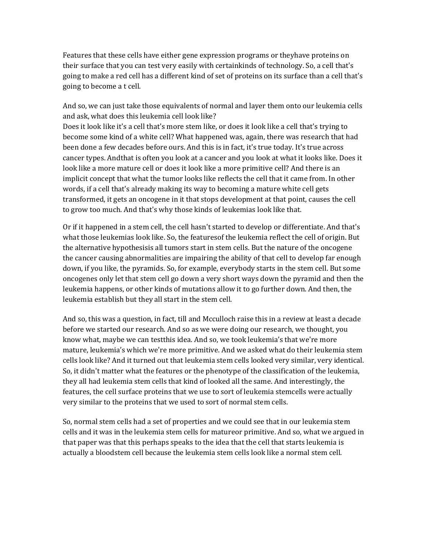Features that these cells have either gene expression programs or theyhave proteins on their surface that you can test very easily with certainkinds of technology. So, a cell that's going to make a red cell has a different kind of set of proteins on its surface than a cell that's going to become a t cell.

And so, we can just take those equivalents of normal and layer them onto our leukemia cells and ask, what does this leukemia cell look like?

Does it look like it's a cell that's more stem like, or does it look like a cell that's trying to become some kind of a white cell? What happened was, again, there was research that had been done a few decades before ours. And this is in fact, it's true today. It's true across cancer types. Andthat is often you look at a cancer and you look at what it looks like. Does it look like a more mature cell or does it look like a more primitive cell? And there is an implicit concept that what the tumor looks like reflects the cell that it came from. In other words, if a cell that's already making its way to becoming a mature white cell gets transformed, it gets an oncogene in it that stops development at that point, causes the cell to grow too much. And that's why those kinds of leukemias look like that.

Or if it happened in a stem cell, the cell hasn't started to develop or differentiate. And that's what those leukemias look like. So, the featuresof the leukemia reflect the cell of origin. But the alternative hypothesisis all tumors start in stem cells. But the nature of the oncogene the cancer causing abnormalities are impairing the ability of that cell to develop far enough down, if you like, the pyramids. So, for example, everybody starts in the stem cell. But some oncogenes only let that stem cell go down a very short ways down the pyramid and then the leukemia happens, or other kinds of mutations allow it to go further down. And then, the leukemia establish but they all start in the stem cell.

And so, this was a question, in fact, till and Mcculloch raise this in a review at least a decade before we started our research. And so as we were doing our research, we thought, you know what, maybe we can testthis idea. And so, we took leukemia's that we're more mature, leukemia's which we're more primitive. And we asked what do their leukemia stem cells look like? And it turned out that leukemia stem cells looked very similar, very identical. So, it didn't matter what the features or the phenotype of the classification of the leukemia, they all had leukemia stem cells that kind of looked all the same. And interestingly, the features, the cell surface proteins that we use to sort of leukemia stemcells were actually very similar to the proteins that we used to sort of normal stem cells.

So, normal stem cells had a set of properties and we could see that in our leukemia stem cells and it was in the leukemia stem cells for matureor primitive. And so, what we argued in that paper was that this perhaps speaks to the idea that the cell that starts leukemia is actually a bloodstem cell because the leukemia stem cells look like a normal stem cell.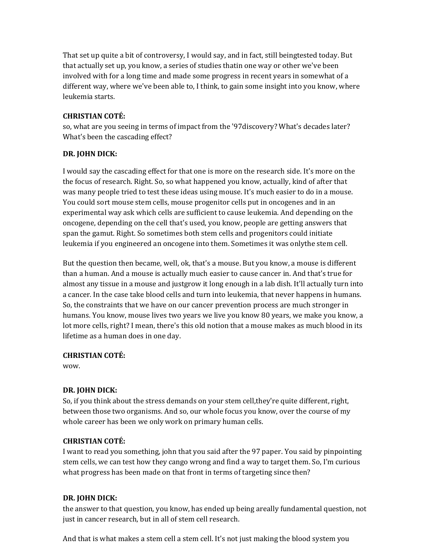That set up quite a bit of controversy, I would say, and in fact, still being tested today. But that actually set up, you know, a series of studies thatin one way or other we've been involved with for a long time and made some progress in recent years in somewhat of a different way, where we've been able to, I think, to gain some insight into you know, where leukemia starts.

## **CHRISTIAN COTÉ:**

so, what are you seeing in terms of impact from the '97discovery? What's decades later? What's been the cascading effect?

## **DR. JOHN DICK:**

I would say the cascading effect for that one is more on the research side. It's more on the the focus of research. Right. So, so what happened you know, actually, kind of after that was many people tried to test these ideas using mouse. It's much easier to do in a mouse. You could sort mouse stem cells, mouse progenitor cells put in oncogenes and in an experimental way ask which cells are sufficient to cause leukemia. And depending on the oncogene, depending on the cell that's used, you know, people are getting answers that span the gamut. Right. So sometimes both stem cells and progenitors could initiate leukemia if you engineered an oncogene into them. Sometimes it was only the stem cell.

But the question then became, well, ok, that's a mouse. But you know, a mouse is different than a human. And a mouse is actually much easier to cause cancer in. And that's true for almost any tissue in a mouse and justgrow it long enough in a lab dish. It'll actually turn into a cancer. In the case take blood cells and turn into leukemia, that never happens in humans. So, the constraints that we have on our cancer prevention process are much stronger in humans. You know, mouse lives two years we live you know 80 years, we make you know, a lot more cells, right? I mean, there's this old notion that a mouse makes as much blood in its lifetime as a human does in one day.

## **CHRISTIAN COTÉ:**

wow.

# **DR. JOHN DICK:**

So, if you think about the stress demands on your stem cell,they're quite different, right, between those two organisms. And so, our whole focus you know, over the course of my whole career has been we only work on primary human cells.

# **CHRISTIAN COTÉ:**

I want to read you something, john that you said after the 97 paper. You said by pinpointing stem cells, we can test how they cango wrong and find a way to target them. So, I'm curious what progress has been made on that front in terms of targeting since then?

# **DR. JOHN DICK:**

the answer to that question, you know, has ended up being areally fundamental question, not just in cancer research, but in all of stem cell research.

And that is what makes a stem cell a stem cell. It's not just making the blood system you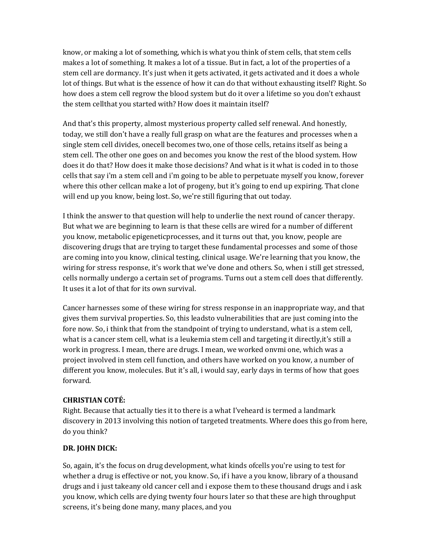know, or making a lot of something, which is what you think of stem cells, that stem cells makes a lot of something. It makes a lot of a tissue. But in fact, a lot of the properties of a stem cell are dormancy. It's just when it gets activated, it gets activated and it does a whole lot of things. But what is the essence of how it can do that without exhausting itself? Right. So how does a stem cell regrow the blood system but do it over a lifetime so you don't exhaust the stem cellthat you started with? How does it maintain itself?

And that's this property, almost mysterious property called self renewal. And honestly, today, we still don't have a really full grasp on what are the features and processes when a single stem cell divides, onecell becomes two, one of those cells, retains itself as being a stem cell. The other one goes on and becomes you know the rest of the blood system. How does it do that? How does it make those decisions? And what is it what is coded in to those cells that say i'm a stem cell and i'm going to be able to perpetuate myself you know, forever where this other cellcan make a lot of progeny, but it's going to end up expiring. That clone will end up you know, being lost. So, we're still figuring that out today.

I think the answer to that question will help to underlie the next round of cancer therapy. But what we are beginning to learn is that these cells are wired for a number of different you know, metabolic epigeneticprocesses, and it turns out that, you know, people are discovering drugs that are trying to target these fundamental processes and some of those are coming into you know, clinical testing, clinical usage. We're learning that you know, the wiring for stress response, it's work that we've done and others. So, when i still get stressed, cells normally undergo a certain set of programs. Turns out a stem cell does that differently. It uses it a lot of that for its own survival.

Cancer harnesses some of these wiring for stress response in an inappropriate way, and that gives them survival properties. So, this leadsto vulnerabilities that are just coming into the fore now. So, i think that from the standpoint of trying to understand, what is a stem cell, what is a cancer stem cell, what is a leukemia stem cell and targeting it directly,it's still a work in progress. I mean, there are drugs. I mean, we worked onvmi one, which was a project involved in stem cell function, and others have worked on you know, a number of different you know, molecules. But it's all, i would say, early days in terms of how that goes forward.

#### **CHRISTIAN COTÉ:**

Right. Because that actually ties it to there is a what I've heard is termed a landmark discovery in 2013 involving this notion of targeted treatments. Where does this go from here, do you think?

## **DR. JOHN DICK:**

So, again, it's the focus on drug development, what kinds ofcells you're using to test for whether a drug is effective or not, you know. So, if i have a you know, library of a thousand drugs and i just takeany old cancer cell and i expose them to these thousand drugs and i ask you know, which cells are dying twenty four hours later so that these are high throughput screens, it's being done many, many places, and you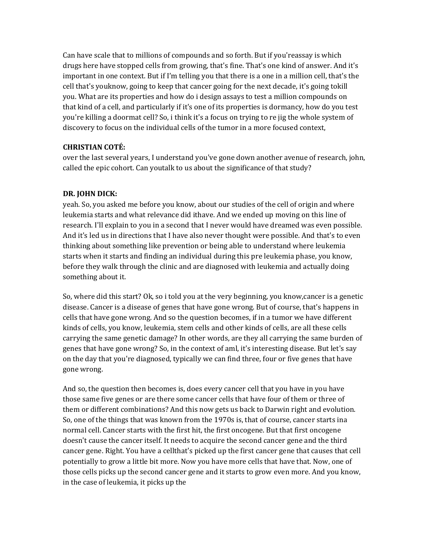Can have scale that to millions of compounds and so forth. But if you'reassay is which drugs here have stopped cells from growing, that's fine. That's one kind of answer. And it's important in one context. But if I'm telling you that there is a one in a million cell, that's the cell that's youknow, going to keep that cancer going for the next decade, it's going tokill you. What are its properties and how do i design assays to test a million compounds on that kind of a cell, and particularly if it's one of its properties is dormancy, how do you test you're killing a doormat cell? So, i think it's a focus on trying to re jig the whole system of discovery to focus on the individual cells of the tumor in a more focused context,

### **CHRISTIAN COTÉ:**

over the last several years, I understand you've gone down another avenue of research, john, called the epic cohort. Can youtalk to us about the significance of that study?

### **DR. JOHN DICK:**

yeah. So, you asked me before you know, about our studies of the cell of origin and where leukemia starts and what relevance did ithave. And we ended up moving on this line of research. I'll explain to you in a second that I never would have dreamed was even possible. And it's led us in directions that I have also never thought were possible. And that's to even thinking about something like prevention or being able to understand where leukemia starts when it starts and finding an individual during this pre leukemia phase, you know, before they walk through the clinic and are diagnosed with leukemia and actually doing something about it.

So, where did this start? Ok, so i told you at the very beginning, you know,cancer is a genetic disease. Cancer is a disease of genes that have gone wrong. But of course, that's happens in cells that have gone wrong. And so the question becomes, if in a tumor we have different kinds of cells, you know, leukemia, stem cells and other kinds of cells, are all these cells carrying the same genetic damage? In other words, are they all carrying the same burden of genes that have gone wrong? So, in the context of aml, it's interesting disease. But let's say on the day that you're diagnosed, typically we can find three, four or five genes that have gone wrong.

And so, the question then becomes is, does every cancer cell that you have in you have those same five genes or are there some cancer cells that have four of them or three of them or different combinations? And this now gets us back to Darwin right and evolution. So, one of the things that was known from the 1970s is, that of course, cancer starts ina normal cell. Cancer starts with the first hit, the first oncogene. But that first oncogene doesn't cause the cancer itself. It needs to acquire the second cancer gene and the third cancer gene. Right. You have a cellthat's picked up the first cancer gene that causes that cell potentially to grow a little bit more. Now you have more cells that have that. Now, one of those cells picks up the second cancer gene and it starts to grow even more. And you know, in the case of leukemia, it picks up the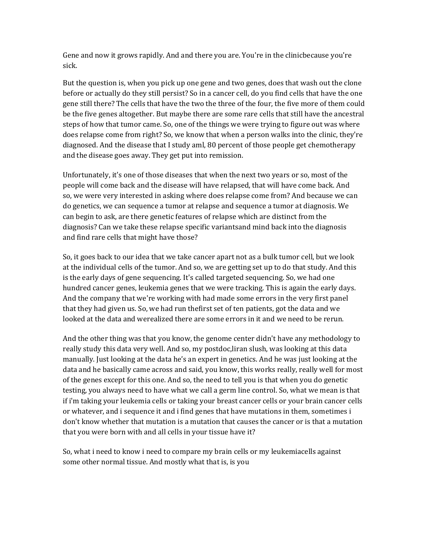Gene and now it grows rapidly. And and there you are. You're in the clinicbecause you're sick.

But the question is, when you pick up one gene and two genes, does that wash out the clone before or actually do they still persist? So in a cancer cell, do you find cells that have the one gene still there? The cells that have the two the three of the four, the five more of them could be the five genes altogether. But maybe there are some rare cells that still have the ancestral steps of how that tumor came. So, one of the things we were trying to figure out was where does relapse come from right? So, we know that when a person walks into the clinic, they're diagnosed. And the disease that I study aml, 80 percent of those people get chemotherapy and the disease goes away. They get put into remission.

Unfortunately, it's one of those diseases that when the next two years or so, most of the people will come back and the disease will have relapsed, that will have come back. And so, we were very interested in asking where does relapse come from? And because we can do genetics, we can sequence a tumor at relapse and sequence a tumor at diagnosis. We can begin to ask, are there genetic features of relapse which are distinct from the diagnosis? Can we take these relapse specific variantsand mind back into the diagnosis and find rare cells that might have those?

So, it goes back to our idea that we take cancer apart not as a bulk tumor cell, but we look at the individual cells of the tumor. And so, we are getting set up to do that study. And this is the early days of gene sequencing. It's called targeted sequencing. So, we had one hundred cancer genes, leukemia genes that we were tracking. This is again the early days. And the company that we're working with had made some errors in the very first panel that they had given us. So, we had run thefirst set of ten patients, got the data and we looked at the data and werealized there are some errors in it and we need to be rerun.

And the other thing was that you know, the genome center didn't have any methodology to really study this data very well. And so, my postdoc,liran slush, was looking at this data manually. Just looking at the data he's an expert in genetics. And he was just looking at the data and he basically came across and said, you know, this works really, really well for most of the genes except for this one. And so, the need to tell you is that when you do genetic testing, you always need to have what we call a germ line control. So, what we mean is that if i'm taking your leukemia cells or taking your breast cancer cells or your brain cancer cells or whatever, and i sequence it and i find genes that have mutations in them, sometimes i don't know whether that mutation is a mutation that causes the cancer or is that a mutation that you were born with and all cells in your tissue have it?

So, what i need to know i need to compare my brain cells or my leukemiacells against some other normal tissue. And mostly what that is, is you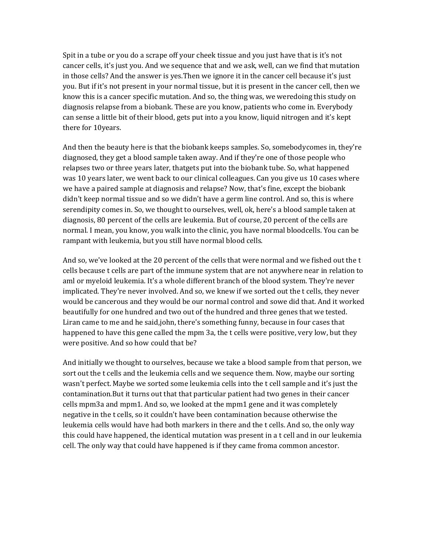Spit in a tube or you do a scrape off your cheek tissue and you just have that is it's not cancer cells, it's just you. And we sequence that and we ask, well, can we find that mutation in those cells? And the answer is yes.Then we ignore it in the cancer cell because it's just you. But if it's not present in your normal tissue, but it is present in the cancer cell, then we know this is a cancer specific mutation. And so, the thing was, we weredoing this study on diagnosis relapse from a biobank. These are you know, patients who come in. Everybody can sense a little bit of their blood, gets put into a you know, liquid nitrogen and it's kept there for 10years.

And then the beauty here is that the biobank keeps samples. So, somebodycomes in, they're diagnosed, they get a blood sample taken away. And if they're one of those people who relapses two or three years later, thatgets put into the biobank tube. So, what happened was 10 years later, we went back to our clinical colleagues. Can you give us 10 cases where we have a paired sample at diagnosis and relapse? Now, that's fine, except the biobank didn't keep normal tissue and so we didn't have a germ line control. And so, this is where serendipity comes in. So, we thought to ourselves, well, ok, here's a blood sample taken at diagnosis, 80 percent of the cells are leukemia. But of course, 20 percent of the cells are normal. I mean, you know, you walk into the clinic, you have normal blood cells. You can be rampant with leukemia, but you still have normal blood cells.

And so, we've looked at the 20 percent of the cells that were normal and we fished out the t cells because t cells are part of the immune system that are not anywhere near in relation to aml or myeloid leukemia. It's a whole different branch of the blood system. They're never implicated. They're never involved. And so, we knew if we sorted out the t cells, they never would be cancerous and they would be our normal control and sowe did that. And it worked beautifully for one hundred and two out of the hundred and three genes that we tested. Liran came to me and he said,john, there's something funny, because in four cases that happened to have this gene called the mpm 3a, the t cells were positive, very low, but they were positive. And so how could that be?

And initially we thought to ourselves, because we take a blood sample from that person, we sort out the t cells and the leukemia cells and we sequence them. Now, maybe our sorting wasn't perfect. Maybe we sorted some leukemia cells into the t cell sample and it's just the contamination.But it turns out that that particular patient had two genes in their cancer cells mpm3a and mpm1. And so, we looked at the mpm1 gene and it was completely negative in the t cells, so it couldn't have been contamination because otherwise the leukemia cells would have had both markers in there and the t cells. And so, the only way this could have happened, the identical mutation was present in a t cell and in our leukemia cell. The only way that could have happened is if they came from a common ancestor.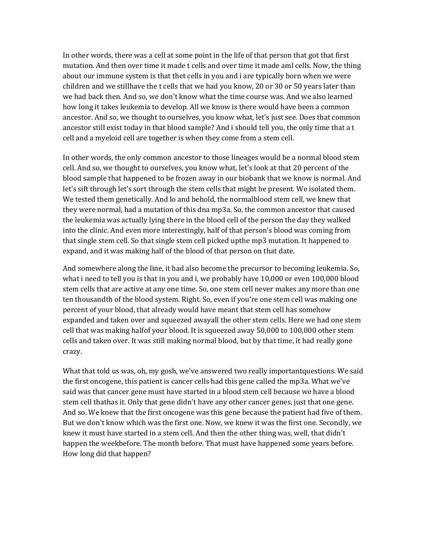In other words, there was a cell at some point in the life of that person that got that first mutation. And then over time it made t cells and over time it made aml cells. Now, the thing about our immune system is that thet cells in you and i are typically born when we were children and we stillhave the t cells that we had you know, 20 or 30 or 50 years later than we had back then. And so, we don't know what the time course was. And we also learned how long it takes leukemia to develop. All we know is there would have been a common ancestor. And so, we thought to ourselves, you know what, let's just see. Does that common ancestor still exist today in that blood sample? And i should tell you, the only time that a t cell and a myeloid cell are together is when they come from a stem cell.

In other words, the only common ancestor to those lineages would be a normal blood stem cell. And so, we thought to ourselves, you know what, let's look at that 20 percent of the blood sample that happened to be frozen away in our biobank that we know is normal. And let's sift through let's sort through the stem cells that might be present. We isolated them. We tested them genetically. And lo and behold, the normalblood stem cell, we knew that they were normal, had a mutation of this dna mp3a. So, the common ancestor that caused the leukemia was actually lying there in the blood cell of the person the day they walked into the clinic. And even more interestingly, half of that person's blood was coming from that single stem cell. So that single stem cell picked upthe mp3 mutation. It happened to expand, and it was making half of the blood of that person on that date.

And somewhere along the line, it had also become the precursor to becoming leukemia. So, what i need to tell you is that in you and i, we probably have 10,000 or even 100,000 blood stem cells that are active at any one time. So, one stem cell never makes any more than one ten thousandth of the blood system. Right. So, even if you're one stem cell was making one percent of your blood, that already would have meant that stem cell has somehow expanded and taken over and squeezed awayall the other stem cells. Here we had one stem cell that was making halfof your blood. It is squeezed away 50,000 to 100,000 other stem cells and taken over. It was still making normal blood, but by that time, it had really gone crazy.

What that told us was, oh, my gosh, we've answered two really importantquestions. We said the first oncogene, this patient is cancer cells had this gene called the mp3a. What we've said was that cancer gene must have started in a blood stem cell because we have a blood stem cell thathas it. Only that gene didn't have any other cancer genes, just that one gene. And so. We knew that the first oncogene was this gene because the patient had five of them. But we don't know which was the first one. Now, we knew it was the first one. Secondly, we knew it must have started in a stem cell. And then the other thing was, well, that didn't happen the weekbefore. The month before. That must have happened some years before. How long did that happen?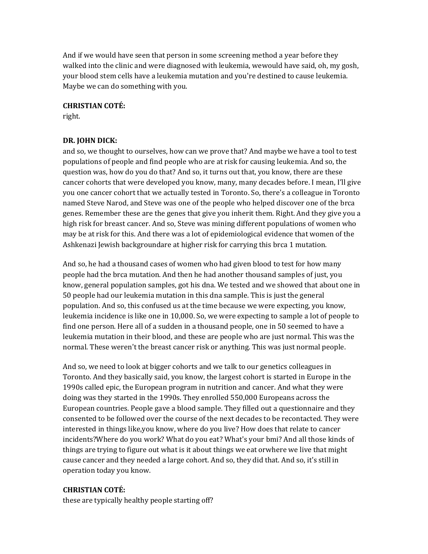And if we would have seen that person in some screening method a year before they walked into the clinic and were diagnosed with leukemia, wewould have said, oh, my gosh, your blood stem cells have a leukemia mutation and you're destined to cause leukemia. Maybe we can do something with you.

#### **CHRISTIAN COTÉ:**

right.

### **DR. JOHN DICK:**

and so, we thought to ourselves, how can we prove that? And maybe we have a tool to test populations of people and find people who are at risk for causing leukemia. And so, the question was, how do you do that? And so, it turns out that, you know, there are these cancer cohorts that were developed you know, many, many decades before. I mean, I'll give you one cancer cohort that we actually tested in Toronto. So, there's a colleague in Toronto named Steve Narod, and Steve was one of the people who helped discover one of the brca genes. Remember these are the genes that give you inherit them. Right. And they give you a high risk for breast cancer. And so, Steve was mining different populations of women who may be at risk for this. And there was a lot of epidemiological evidence that women of the Ashkenazi Jewish backgroundare at higher risk for carrying this brca 1 mutation.

And so, he had a thousand cases of women who had given blood to test for how many people had the brca mutation. And then he had another thousand samples of just, you know, general population samples, got his dna. We tested and we showed that about one in 50 people had our leukemia mutation in this dna sample. This is just the general population. And so, this confused us at the time because we were expecting, you know, leukemia incidence is like one in 10,000. So, we were expecting to sample a lot of people to find one person. Here all of a sudden in a thousand people, one in 50 seemed to have a leukemia mutation in their blood, and these are people who are just normal. This was the normal. These weren't the breast cancer risk or anything. This was just normal people.

And so, we need to look at bigger cohorts and we talk to our genetics colleagues in Toronto. And they basically said, you know, the largest cohort is started in Europe in the 1990s called epic, the European program in nutrition and cancer. And what they were doing was they started in the 1990s. They enrolled 550,000 Europeans across the European countries. People gave a blood sample. They filled out a questionnaire and they consented to be followed over the course of the next decades to be recontacted. They were interested in things like,you know, where do you live? How does that relate to cancer incidents?Where do you work? What do you eat? What's your bmi? And all those kinds of things are trying to figure out what is it about things we eat orwhere we live that might cause cancer and they needed a large cohort. And so, they did that. And so, it's still in operation today you know.

#### **CHRISTIAN COTÉ:**

these are typically healthy people starting off?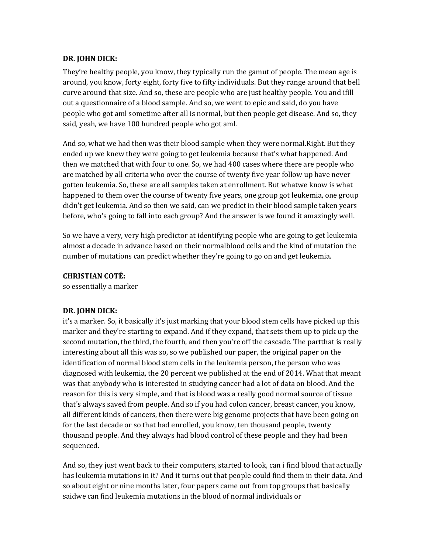#### **DR. JOHN DICK:**

They're healthy people, you know, they typically run the gamut of people. The mean age is around, you know, forty eight, forty five to fifty individuals. But they range around that bell curve around that size. And so, these are people who are just healthy people. You and ifill out a questionnaire of a blood sample. And so, we went to epic and said, do you have people who got aml sometime after all is normal, but then people get disease. And so, they said, yeah, we have 100 hundred people who got aml.

And so, what we had then was their blood sample when they were normal.Right. But they ended up we knew they were going to get leukemia because that's what happened. And then we matched that with four to one. So, we had 400 cases where there are people who are matched by all criteria who over the course of twenty five year follow up have never gotten leukemia. So, these are all samples taken at enrollment. But whatwe know is what happened to them over the course of twenty five years, one group got leukemia, one group didn't get leukemia. And so then we said, can we predict in their blood sample taken years before, who's going to fall into each group? And the answer is we found it amazingly well.

So we have a very, very high predictor at identifying people who are going to get leukemia almost a decade in advance based on their normalblood cells and the kind of mutation the number of mutations can predict whether they're going to go on and get leukemia.

#### **CHRISTIAN COTÉ:**

so essentially a marker

#### **DR. JOHN DICK:**

it's a marker. So, it basically it's just marking that your blood stem cells have picked up this marker and they're starting to expand. And if they expand, that sets them up to pick up the second mutation, the third, the fourth, and then you're off the cascade. The partthat is really interesting about all this was so, so we published our paper, the original paper on the identification of normal blood stem cells in the leukemia person, the person who was diagnosed with leukemia, the 20 percent we published at the end of 2014. What that meant was that anybody who is interested in studying cancer had a lot of data on blood. And the reason for this is very simple, and that is blood was a really good normal source of tissue that's always saved from people. And so if you had colon cancer, breast cancer, you know, all different kinds of cancers, then there were big genome projects that have been going on for the last decade or so that had enrolled, you know, ten thousand people, twenty thousand people. And they always had blood control of these people and they had been sequenced.

And so, they just went back to their computers, started to look, can i find blood that actually has leukemia mutations in it? And it turns out that people could find them in their data. And so about eight or nine months later, four papers came out from top groups that basically saidwe can find leukemia mutations in the blood of normal individuals or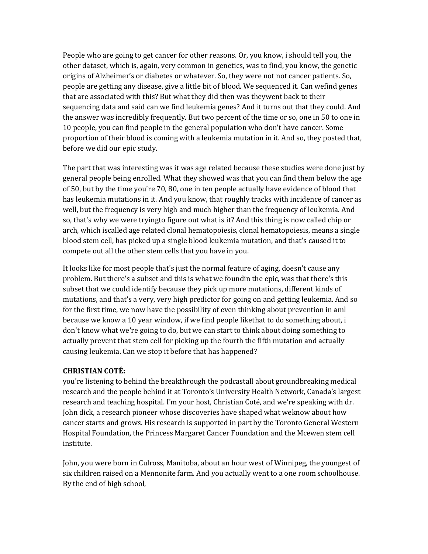People who are going to get cancer for other reasons. Or, you know, i should tell you, the other dataset, which is, again, very common in genetics, was to find, you know, the genetic origins of Alzheimer's or diabetes or whatever. So, they were not not cancer patients. So, people are getting any disease, give a little bit of blood. We sequenced it. Can wefind genes that are associated with this? But what they did then was theywent back to their sequencing data and said can we find leukemia genes? And it turns out that they could. And the answer was incredibly frequently. But two percent of the time or so, one in 50 to one in 10 people, you can find people in the general population who don't have cancer. Some proportion of their blood is coming with a leukemia mutation in it. And so, they posted that, before we did our epic study.

The part that was interesting was it was age related because these studies were done just by general people being enrolled. What they showed was that you can find them below the age of 50, but by the time you're 70, 80, one in ten people actually have evidence of blood that has leukemia mutations in it. And you know, that roughly tracks with incidence of cancer as well, but the frequency is very high and much higher than the frequency of leukemia. And so, that's why we were tryingto figure out what is it? And this thing is now called chip or arch, which iscalled age related clonal hematopoiesis, clonal hematopoiesis, means a single blood stem cell, has picked up a single blood leukemia mutation, and that's caused it to compete out all the other stem cells that you have in you.

It looks like for most people that's just the normal feature of aging, doesn't cause any problem. But there's a subset and this is what we foundin the epic, was that there's this subset that we could identify because they pick up more mutations, different kinds of mutations, and that's a very, very high predictor for going on and getting leukemia. And so for the first time, we now have the possibility of even thinking about prevention in aml because we know a 10 year window, if we find people likethat to do something about, i don't know what we're going to do, but we can start to think about doing something to actually prevent that stem cell for picking up the fourth the fifth mutation and actually causing leukemia. Can we stop it before that has happened?

#### **CHRISTIAN COTÉ:**

you're listening to behind the breakthrough the podcastall about groundbreaking medical research and the people behind it at Toronto's University Health Network, Canada's largest research and teaching hospital. I'm your host, Christian Coté, and we're speaking with dr. John dick, a research pioneer whose discoveries have shaped what weknow about how cancer starts and grows. His research is supported in part by the Toronto General Western Hospital Foundation, the Princess Margaret Cancer Foundation and the Mcewen stem cell institute.

John, you were born in Culross, Manitoba, about an hour west of Winnipeg, the youngest of six children raised on a Mennonite farm. And you actually went to a one room schoolhouse. By the end of high school,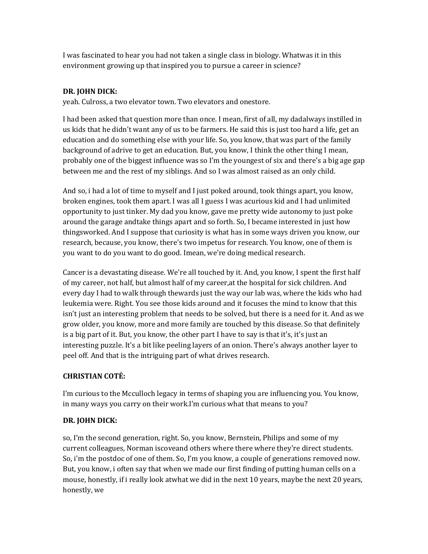I was fascinated to hear you had not taken a single class in biology. Whatwas it in this environment growing up that inspired you to pursue a career in science?

## **DR. JOHN DICK:**

yeah. Culross, a two elevator town. Two elevators and onestore.

I had been asked that question more than once. I mean, first of all, my dadalways instilled in us kids that he didn't want any of us to be farmers. He said this is just too hard a life, get an education and do something else with your life. So, you know, that was part of the family background of adrive to get an education. But, you know, I think the other thing I mean, probably one of the biggest influence was so I'm the youngest of six and there's a big age gap between me and the rest of my siblings. And so I was almost raised as an only child.

And so, i had a lot of time to myself and I just poked around, took things apart, you know, broken engines, took them apart. I was all I guess I was acurious kid and I had unlimited opportunity to just tinker. My dad you know, gave me pretty wide autonomy to just poke around the garage andtake things apart and so forth. So, I became interested in just how things worked. And I suppose that curiosity is what has in some ways driven you know, our research, because, you know, there's two impetus for research. You know, one of them is you want to do you want to do good. Imean, we're doing medical research.

Cancer is a devastating disease. We're all touched by it. And, you know, I spent the first half of my career, not half, but almost half of my career,at the hospital for sick children. And every day I had to walk through the wards just the way our lab was, where the kids who had leukemia were. Right. You see those kids around and it focuses the mind to know that this isn't just an interesting problem that needs to be solved, but there is a need for it. And as we grow older, you know, more and more family are touched by this disease. So that definitely is a big part of it. But, you know, the other part I have to say is that it's, it's just an interesting puzzle. It's a bit like peeling layers of an onion. There's always another layer to peel off. And that is the intriguing part of what drives research.

# **CHRISTIAN COTÉ:**

I'm curious to the Mcculloch legacy in terms of shaping you are influencing you. You know, in many ways you carry on their work.I'm curious what that means to you?

# **DR. JOHN DICK:**

so, I'm the second generation, right. So, you know, Bernstein, Philips and some of my current colleagues, Norman iscoveand others where there where they're direct students. So, i'm the postdoc of one of them. So, I'm you know, a couple of generations removed now. But, you know, i often say that when we made our first finding of putting human cells on a mouse, honestly, if i really look atwhat we did in the next 10 years, maybe the next 20 years, honestly, we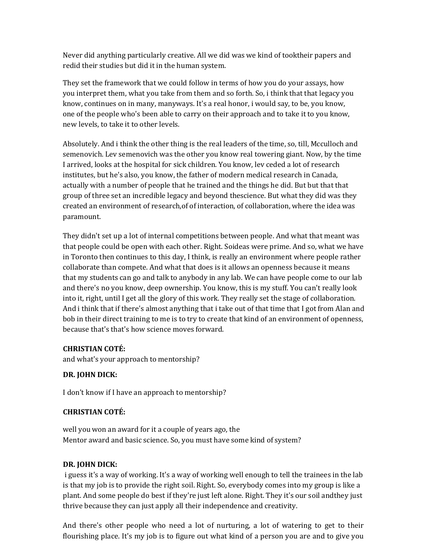Never did anything particularly creative. All we did was we kind of tooktheir papers and redid their studies but did it in the human system.

They set the framework that we could follow in terms of how you do your assays, how you interpret them, what you take from them and so forth. So, i think that that legacy you know, continues on in many, manyways. It's a real honor, i would say, to be, you know, one of the people who's been able to carry on their approach and to take it to you know, new levels, to take it to other levels.

Absolutely. And i think the other thing is the real leaders of the time, so, till, Mcculloch and semenovich. Lev semenovich was the other you know real towering giant. Now, by the time I arrived, looks at the hospital for sick children. You know, lev ceded a lot of research institutes, but he's also, you know, the father of modern medical research in Canada, actually with a number of people that he trained and the things he did. But but that that group of three set an incredible legacy and beyond thescience. But what they did was they created an environment of research,of of interaction, of collaboration, where the idea was paramount.

They didn't set up a lot of internal competitions between people. And what that meant was that people could be open with each other. Right. Soideas were prime. And so, what we have in Toronto then continues to this day, I think, is really an environment where people rather collaborate than compete. And what that does is it allows an openness because it means that my students can go and talk to anybody in any lab. We can have people come to our lab and there's no you know, deep ownership. You know, this is my stuff. You can't really look into it, right, until I get all the glory of this work. They really set the stage of collaboration. And i think that if there's almost anything that i take out of that time that I got from Alan and bob in their direct training to me is to try to create that kind of an environment of openness, because that's that's how science moves forward.

## **CHRISTIAN COTÉ:**

and what's your approach to mentorship?

## **DR. JOHN DICK:**

I don't know if I have an approach to mentorship?

# **CHRISTIAN COTÉ:**

well you won an award for it a couple of years ago, the Mentor award and basic science. So, you must have some kind of system?

## **DR. JOHN DICK:**

i guess it's a way of working. It's a way of working well enough to tell the trainees in the lab is that my job is to provide the right soil. Right. So, everybody comes into my group is like a plant. And some people do best if they're just left alone. Right. They it's our soil andthey just thrive because they can just apply all their independence and creativity.

And there's other people who need a lot of nurturing, a lot of watering to get to their flourishing place. It's my job is to figure out what kind of a person you are and to give you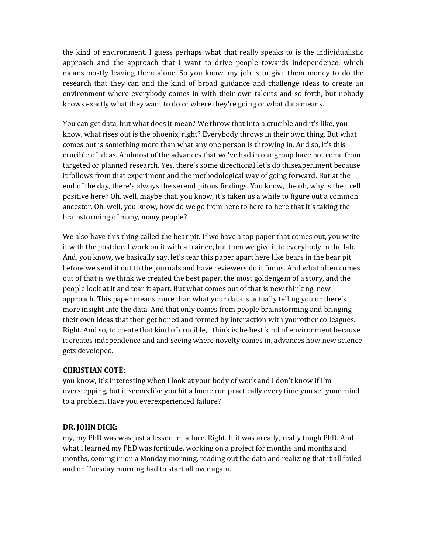the kind of environment. I guess perhaps what that really speaks to is the individualistic approach and the approach that i want to drive people towards independence, which means mostly leaving them alone. So you know, my job is to give them money to do the research that they can and the kind of broad guidance and challenge ideas to create an environment where everybody comes in with their own talents and so forth, but nobody knows exactly what they want to do or where they're going or what data means.

You can get data, but what does it mean? We throw that into a crucible and it's like, you know, what rises out is the phoenix, right? Everybody throws in their own thing. But what comes out is something more than what any one person is throwing in. And so, it's this crucible of ideas. Andmost of the advances that we've had in our group have not come from targeted or planned research. Yes, there's some directional let's do thisexperiment because it follows from that experiment and the methodological way of going forward. But at the end of the day, there's always the serendipitous findings. You know, the oh, why is the t cell positive here? Oh, well, maybe that, you know, it's taken us a while to figure out a common ancestor. Oh, well, you know, how do we go from here to here to here that it's taking the brainstorming of many, many people?

We also have this thing called the bear pit. If we have a top paper that comes out, you write it with the postdoc. I work on it with a trainee, but then we give it to everybody in the lab. And, you know, we basically say, let's tear this paper apart here like bears in the bear pit before we send it out to the journals and have reviewers do it for us. And what often comes out of that is we think we created the best paper, the most goldengem of a story, and the people look at it and tear it apart. But what comes out of that is new thinking, new approach. This paper means more than what your data is actually telling you or there's more insight into the data. And that only comes from people brainstorming and bringing their own ideas that then get honed and formed by interaction with yourother colleagues. Right. And so, to create that kind of crucible, i think isthe best kind of environment because it creates independence and and seeing where novelty comes in, advances how new science gets developed.

#### **CHRISTIAN COTÉ:**

you know, it's interesting when I look at your body of work and I don't know if I'm overstepping, but it seems like you hit a home run practically every time you set your mind to a problem. Have you everexperienced failure?

## **DR. JOHN DICK:**

my, my PhD was was just a lesson in failure. Right. It it was areally, really tough PhD. And what i learned my PhD was fortitude, working on a project for months and months and months, coming in on a Monday morning, reading out the data and realizing that it all failed and on Tuesday morning had to start all over again.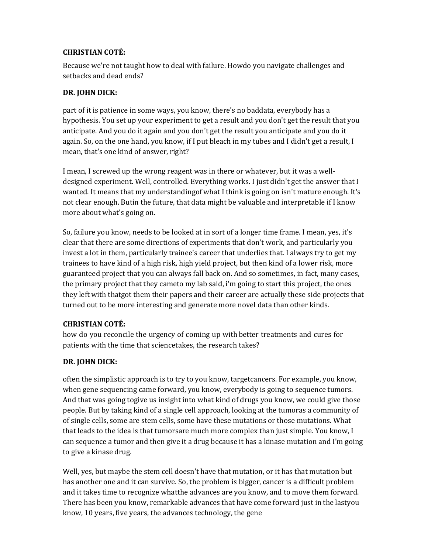## **CHRISTIAN COTÉ:**

Because we're not taught how to deal with failure. Howdo you navigate challenges and setbacks and dead ends?

## **DR. JOHN DICK:**

part of it is patience in some ways, you know, there's no baddata, everybody has a hypothesis. You set up your experiment to get a result and you don't get the result that you anticipate. And you do it again and you don't get the result you anticipate and you do it again. So, on the one hand, you know, if I put bleach in my tubes and I didn't get a result, I mean, that's one kind of answer, right?

I mean, I screwed up the wrong reagent was in there or whatever, but it was a welldesigned experiment. Well, controlled. Everything works. I just didn't get the answer that I wanted. It means that my understandingof what I think is going on isn't mature enough. It's not clear enough. Butin the future, that data might be valuable and interpretable if I know more about what's going on.

So, failure you know, needs to be looked at in sort of a longer time frame. I mean, yes, it's clear that there are some directions of experiments that don't work, and particularly you invest a lot in them, particularly trainee's career that underlies that. I always try to get my trainees to have kind of a high risk, high yield project, but then kind of a lower risk, more guaranteed project that you can always fall back on. And so sometimes, in fact, many cases, the primary project that they cameto my lab said, i'm going to start this project, the ones they left with thatgot them their papers and their career are actually these side projects that turned out to be more interesting and generate more novel data than other kinds.

## **CHRISTIAN COTÉ:**

how do you reconcile the urgency of coming up with better treatments and cures for patients with the time that sciencetakes, the research takes?

# **DR. JOHN DICK:**

often the simplistic approach is to try to you know, targetcancers. For example, you know, when gene sequencing came forward, you know, everybody is going to sequence tumors. And that was going togive us insight into what kind of drugs you know, we could give those people. But by taking kind of a single cell approach, looking at the tumoras a community of of single cells, some are stem cells, some have these mutations or those mutations. What that leads to the idea is that tumorsare much more complex than just simple. You know, I can sequence a tumor and then give it a drug because it has a kinase mutation and I'm going to give a kinase drug.

Well, yes, but maybe the stem cell doesn't have that mutation, or it has that mutation but has another one and it can survive. So, the problem is bigger, cancer is a difficult problem and it takes time to recognize whatthe advances are you know, and to move them forward. There has been you know, remarkable advances that have come forward just in the lastyou know, 10 years, five years, the advances technology, the gene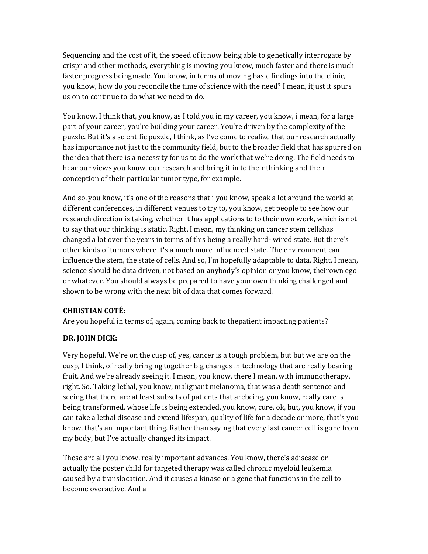Sequencing and the cost of it, the speed of it now being able to genetically interrogate by crispr and other methods, everything is moving you know, much faster and there is much faster progress beingmade. You know, in terms of moving basic findings into the clinic, you know, how do you reconcile the time of science with the need? I mean, itjust it spurs us on to continue to do what we need to do.

You know, I think that, you know, as I told you in my career, you know, i mean, for a large part of your career, you're building your career. You're driven by the complexity of the puzzle. But it's a scientific puzzle, I think, as I've come to realize that our research actually has importance not just to the community field, but to the broader field that has spurred on the idea that there is a necessity for us to do the work that we're doing. The field needs to hear our views you know, our research and bring it in to their thinking and their conception of their particular tumor type, for example.

And so, you know, it's one of the reasons that i you know, speak a lot around the world at different conferences, in different venues to try to, you know, get people to see how our research direction is taking, whether it has applications to to their own work, which is not to say that our thinking is static. Right. I mean, my thinking on cancer stem cellshas changed a lot over the years in terms of this being a really hard- wired state. But there's other kinds of tumors where it's a much more influenced state. The environment can influence the stem, the state of cells. And so, I'm hopefully adaptable to data. Right. I mean, science should be data driven, not based on anybody's opinion or you know, theirown ego or whatever. You should always be prepared to have your own thinking challenged and shown to be wrong with the next bit of data that comes forward.

#### **CHRISTIAN COTÉ:**

Are you hopeful in terms of, again, coming back to thepatient impacting patients?

#### **DR. JOHN DICK:**

Very hopeful. We're on the cusp of, yes, cancer is a tough problem, but but we are on the cusp, I think, of really bringing together big changes in technology that are really bearing fruit. And we're already seeing it. I mean, you know, there I mean, with immunotherapy, right. So. Taking lethal, you know, malignant melanoma, that was a death sentence and seeing that there are at least subsets of patients that arebeing, you know, really care is being transformed, whose life is being extended, you know, cure, ok, but, you know, if you can take a lethal disease and extend lifespan, quality of life for a decade or more, that's you know, that's an important thing. Rather than saying that every last cancer cell is gone from my body, but I've actually changed its impact.

These are all you know, really important advances. You know, there's adisease or actually the poster child for targeted therapy was called chronic myeloid leukemia caused by a translocation. And it causes a kinase or a gene that functions in the cell to become overactive. And a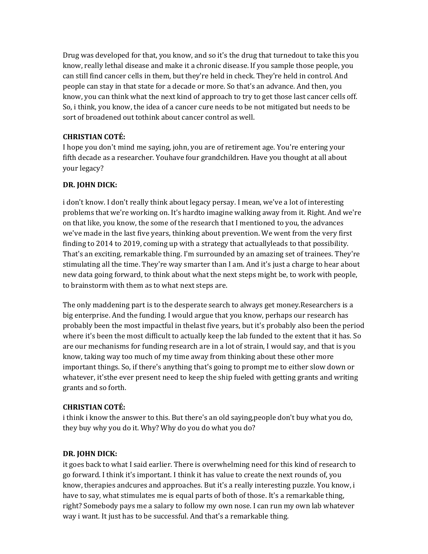Drug was developed for that, you know, and so it's the drug that turnedout to take this you know, really lethal disease and make it a chronic disease. If you sample those people, you can still find cancer cells in them, but they're held in check. They're held in control. And people can stay in that state for a decade or more. So that's an advance. And then, you know, you can think what the next kind of approach to try to get those last cancer cells off. So, i think, you know, the idea of a cancer cure needs to be not mitigated but needs to be sort of broadened out tothink about cancer control as well.

### **CHRISTIAN COTÉ:**

I hope you don't mind me saying, john, you are of retirement age. You're entering your fifth decade as a researcher. Youhave four grandchildren. Have you thought at all about your legacy?

### **DR. JOHN DICK:**

i don't know. I don't really think about legacy persay. I mean, we've a lot of interesting problems that we're working on. It's hardto imagine walking away from it. Right. And we're on that like, you know, the some of the research that I mentioned to you, the advances we've made in the last five years, thinking about prevention. We went from the very first finding to 2014 to 2019, coming up with a strategy that actuallyleads to that possibility. That's an exciting, remarkable thing. I'm surrounded by an amazing set of trainees. They're stimulating all the time. They're way smarter than I am. And it's just a charge to hear about new data going forward, to think about what the next steps might be, to work with people, to brainstorm with them as to what next steps are.

The only maddening part is to the desperate search to always get money.Researchers is a big enterprise. And the funding. I would argue that you know, perhaps our research has probably been the most impactful in thelast five years, but it's probably also been the period where it's been the most difficult to actually keep the lab funded to the extent that it has. So are our mechanisms for funding research are in a lot of strain, I would say, and that is you know, taking way too much of my time away from thinking about these other more important things. So, if there's anything that's going to prompt me to either slow down or whatever, it'sthe ever present need to keep the ship fueled with getting grants and writing grants and so forth.

#### **CHRISTIAN COTÉ:**

i think i know the answer to this. But there's an old saying,people don't buy what you do, they buy why you do it. Why? Why do you do what you do?

#### **DR. JOHN DICK:**

it goes back to what I said earlier. There is overwhelming need for this kind of research to go forward. I think it's important. I think it has value to create the next rounds of, you know, therapies andcures and approaches. But it's a really interesting puzzle. You know, i have to say, what stimulates me is equal parts of both of those. It's a remarkable thing, right? Somebody pays me a salary to follow my own nose. I can run my own lab whatever way i want. It just has to be successful. And that's a remarkable thing.